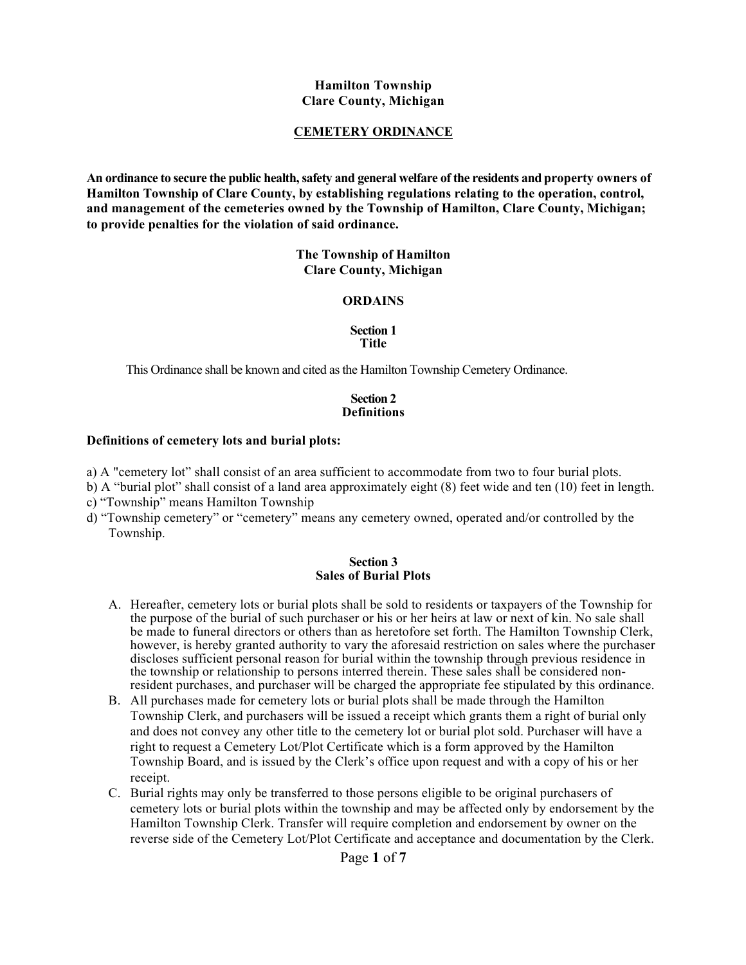#### **Hamilton Township Clare County, Michigan**

### **CEMETERY ORDINANCE**

**An ordinance to secure the public health, safety and general welfare of the residents and property owners of Hamilton Township of Clare County, by establishing regulations relating to the operation, control, and management of the cemeteries owned by the Township of Hamilton, Clare County, Michigan; to provide penalties for the violation of said ordinance.**

> **The Township of Hamilton Clare County, Michigan**

#### **ORDAINS**

#### **Section 1 Title**

This Ordinance shall be known and cited as the Hamilton Township Cemetery Ordinance.

### **Section 2 Definitions**

#### **Definitions of cemetery lots and burial plots:**

- a) A "cemetery lot" shall consist of an area sufficient to accommodate from two to four burial plots.
- b) A "burial plot" shall consist of a land area approximately eight (8) feet wide and ten (10) feet in length.
- c) "Township" means Hamilton Township
- d) "Township cemetery" or "cemetery" means any cemetery owned, operated and/or controlled by the Township.

#### **Section 3 Sales of Burial Plots**

- A. Hereafter, cemetery lots or burial plots shall be sold to residents or taxpayers of the Township for the purpose of the burial of such purchaser or his or her heirs at law or next of kin. No sale shall be made to funeral directors or others than as heretofore set forth. The Hamilton Township Clerk, however, is hereby granted authority to vary the aforesaid restriction on sales where the purchaser discloses sufficient personal reason for burial within the township through previous residence in the township or relationship to persons interred therein. These sales shall be considered nonresident purchases, and purchaser will be charged the appropriate fee stipulated by this ordinance.
- B. All purchases made for cemetery lots or burial plots shall be made through the Hamilton Township Clerk, and purchasers will be issued a receipt which grants them a right of burial only and does not convey any other title to the cemetery lot or burial plot sold. Purchaser will have a right to request a Cemetery Lot/Plot Certificate which is a form approved by the Hamilton Township Board, and is issued by the Clerk's office upon request and with a copy of his or her receipt.
- C. Burial rights may only be transferred to those persons eligible to be original purchasers of cemetery lots or burial plots within the township and may be affected only by endorsement by the Hamilton Township Clerk. Transfer will require completion and endorsement by owner on the reverse side of the Cemetery Lot/Plot Certificate and acceptance and documentation by the Clerk.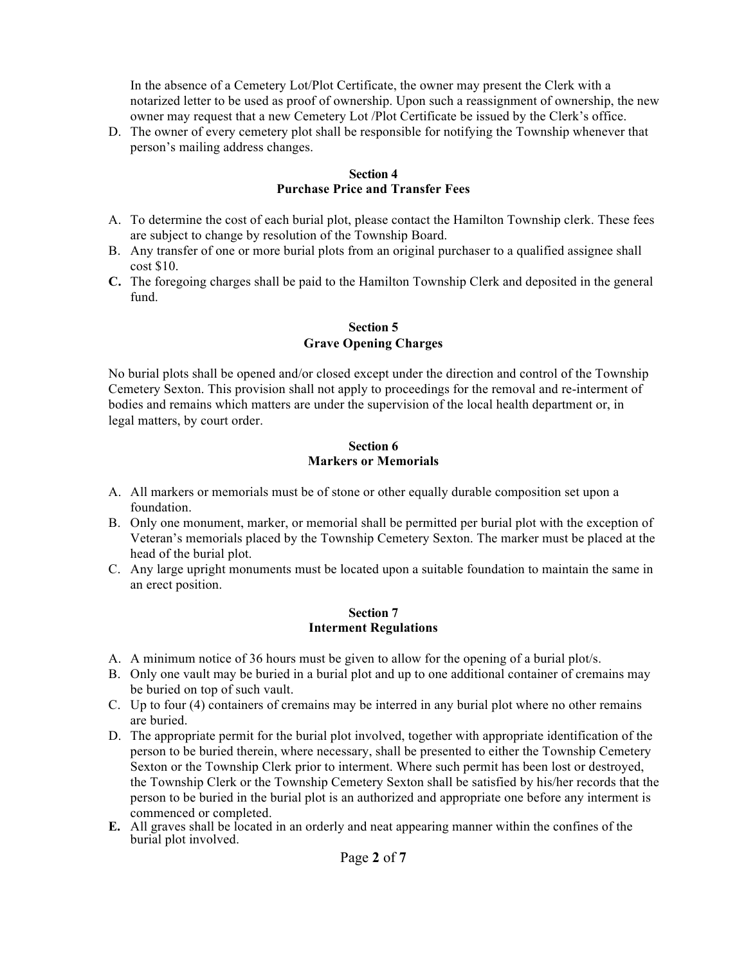In the absence of a Cemetery Lot/Plot Certificate, the owner may present the Clerk with a notarized letter to be used as proof of ownership. Upon such a reassignment of ownership, the new owner may request that a new Cemetery Lot /Plot Certificate be issued by the Clerk's office.

D. The owner of every cemetery plot shall be responsible for notifying the Township whenever that person's mailing address changes.

#### **Section 4 Purchase Price and Transfer Fees**

- A. To determine the cost of each burial plot, please contact the Hamilton Township clerk. These fees are subject to change by resolution of the Township Board.
- B. Any transfer of one or more burial plots from an original purchaser to a qualified assignee shall cost \$10.
- **C.** The foregoing charges shall be paid to the Hamilton Township Clerk and deposited in the general fund.

## **Section 5 Grave Opening Charges**

No burial plots shall be opened and/or closed except under the direction and control of the Township Cemetery Sexton. This provision shall not apply to proceedings for the removal and re-interment of bodies and remains which matters are under the supervision of the local health department or, in legal matters, by court order.

### **Section 6 Markers or Memorials**

- A. All markers or memorials must be of stone or other equally durable composition set upon a foundation.
- B. Only one monument, marker, or memorial shall be permitted per burial plot with the exception of Veteran's memorials placed by the Township Cemetery Sexton. The marker must be placed at the head of the burial plot.
- C. Any large upright monuments must be located upon a suitable foundation to maintain the same in an erect position.

#### **Section 7 Interment Regulations**

- A. A minimum notice of 36 hours must be given to allow for the opening of a burial plot/s.
- B. Only one vault may be buried in a burial plot and up to one additional container of cremains may be buried on top of such vault.
- C. Up to four (4) containers of cremains may be interred in any burial plot where no other remains are buried.
- D. The appropriate permit for the burial plot involved, together with appropriate identification of the person to be buried therein, where necessary, shall be presented to either the Township Cemetery Sexton or the Township Clerk prior to interment. Where such permit has been lost or destroyed, the Township Clerk or the Township Cemetery Sexton shall be satisfied by his/her records that the person to be buried in the burial plot is an authorized and appropriate one before any interment is commenced or completed.
- **E.** All graves shall be located in an orderly and neat appearing manner within the confines of the burial plot involved.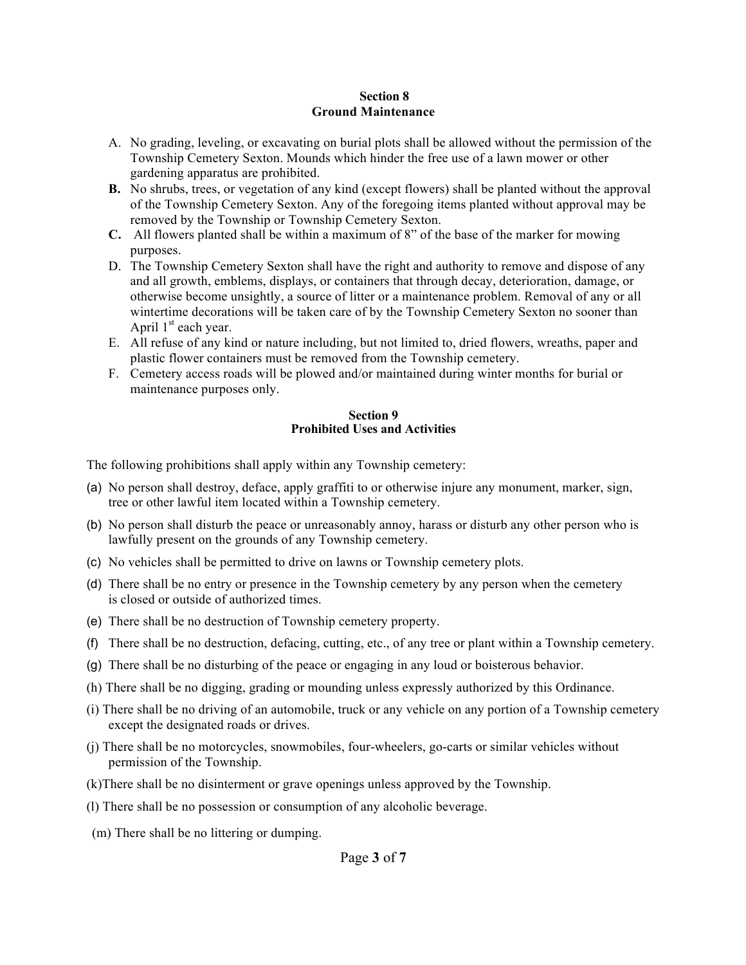## **Section 8 Ground Maintenance**

- A. No grading, leveling, or excavating on burial plots shall be allowed without the permission of the Township Cemetery Sexton. Mounds which hinder the free use of a lawn mower or other gardening apparatus are prohibited.
- **B.** No shrubs, trees, or vegetation of any kind (except flowers) shall be planted without the approval of the Township Cemetery Sexton. Any of the foregoing items planted without approval may be removed by the Township or Township Cemetery Sexton.
- **C.** All flowers planted shall be within a maximum of 8" of the base of the marker for mowing purposes.
- D. The Township Cemetery Sexton shall have the right and authority to remove and dispose of any and all growth, emblems, displays, or containers that through decay, deterioration, damage, or otherwise become unsightly, a source of litter or a maintenance problem. Removal of any or all wintertime decorations will be taken care of by the Township Cemetery Sexton no sooner than April  $1<sup>st</sup>$  each year.
- E. All refuse of any kind or nature including, but not limited to, dried flowers, wreaths, paper and plastic flower containers must be removed from the Township cemetery.
- F. Cemetery access roads will be plowed and/or maintained during winter months for burial or maintenance purposes only.

#### **Section 9 Prohibited Uses and Activities**

The following prohibitions shall apply within any Township cemetery:

- (a) No person shall destroy, deface, apply graffiti to or otherwise injure any monument, marker, sign, tree or other lawful item located within a Township cemetery.
- (b) No person shall disturb the peace or unreasonably annoy, harass or disturb any other person who is lawfully present on the grounds of any Township cemetery.
- (c) No vehicles shall be permitted to drive on lawns or Township cemetery plots.
- (d) There shall be no entry or presence in the Township cemetery by any person when the cemetery is closed or outside of authorized times.
- (e) There shall be no destruction of Township cemetery property.
- (f) There shall be no destruction, defacing, cutting, etc., of any tree or plant within a Township cemetery.
- (g) There shall be no disturbing of the peace or engaging in any loud or boisterous behavior.
- (h) There shall be no digging, grading or mounding unless expressly authorized by this Ordinance.
- (i) There shall be no driving of an automobile, truck or any vehicle on any portion of a Township cemetery except the designated roads or drives.
- (j) There shall be no motorcycles, snowmobiles, four-wheelers, go-carts or similar vehicles without permission of the Township.
- (k)There shall be no disinterment or grave openings unless approved by the Township.
- (l) There shall be no possession or consumption of any alcoholic beverage.
- (m) There shall be no littering or dumping.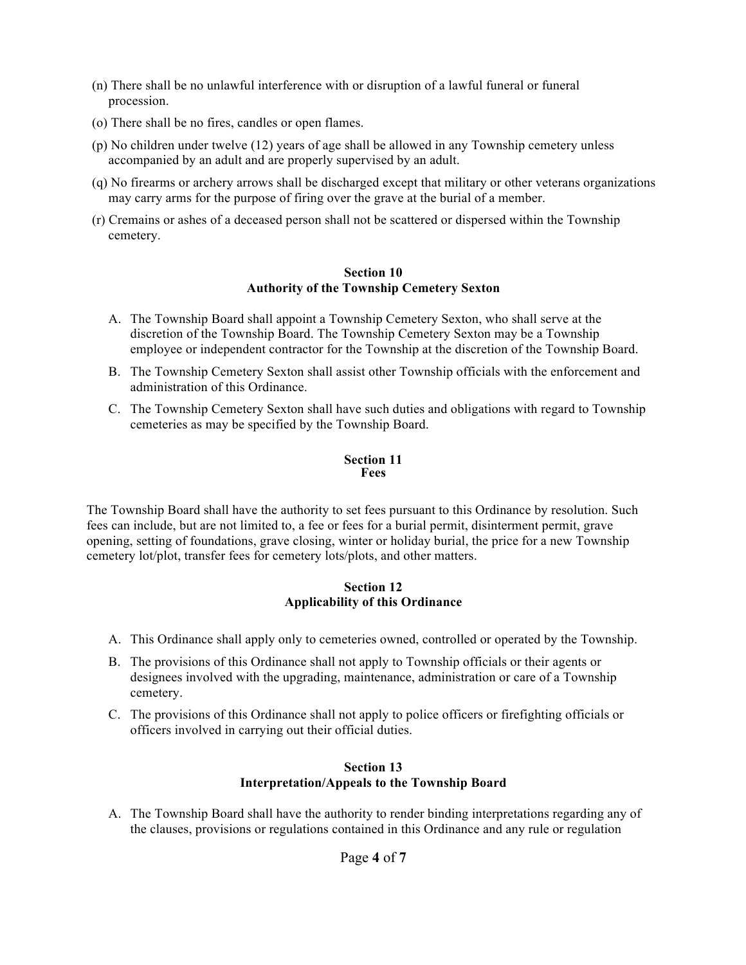- (n) There shall be no unlawful interference with or disruption of a lawful funeral or funeral procession.
- (o) There shall be no fires, candles or open flames.
- (p) No children under twelve (12) years of age shall be allowed in any Township cemetery unless accompanied by an adult and are properly supervised by an adult.
- (q) No firearms or archery arrows shall be discharged except that military or other veterans organizations may carry arms for the purpose of firing over the grave at the burial of a member.
- (r) Cremains or ashes of a deceased person shall not be scattered or dispersed within the Township cemetery.

#### **Section 10 Authority of the Township Cemetery Sexton**

- A. The Township Board shall appoint a Township Cemetery Sexton, who shall serve at the discretion of the Township Board. The Township Cemetery Sexton may be a Township employee or independent contractor for the Township at the discretion of the Township Board.
- B. The Township Cemetery Sexton shall assist other Township officials with the enforcement and administration of this Ordinance.
- C. The Township Cemetery Sexton shall have such duties and obligations with regard to Township cemeteries as may be specified by the Township Board.

### **Section 11 Fees**

The Township Board shall have the authority to set fees pursuant to this Ordinance by resolution. Such fees can include, but are not limited to, a fee or fees for a burial permit, disinterment permit, grave opening, setting of foundations, grave closing, winter or holiday burial, the price for a new Township cemetery lot/plot, transfer fees for cemetery lots/plots, and other matters.

## **Section 12 Applicability of this Ordinance**

- A. This Ordinance shall apply only to cemeteries owned, controlled or operated by the Township.
- B. The provisions of this Ordinance shall not apply to Township officials or their agents or designees involved with the upgrading, maintenance, administration or care of a Township cemetery.
- C. The provisions of this Ordinance shall not apply to police officers or firefighting officials or officers involved in carrying out their official duties.

## **Section 13 Interpretation/Appeals to the Township Board**

A. The Township Board shall have the authority to render binding interpretations regarding any of the clauses, provisions or regulations contained in this Ordinance and any rule or regulation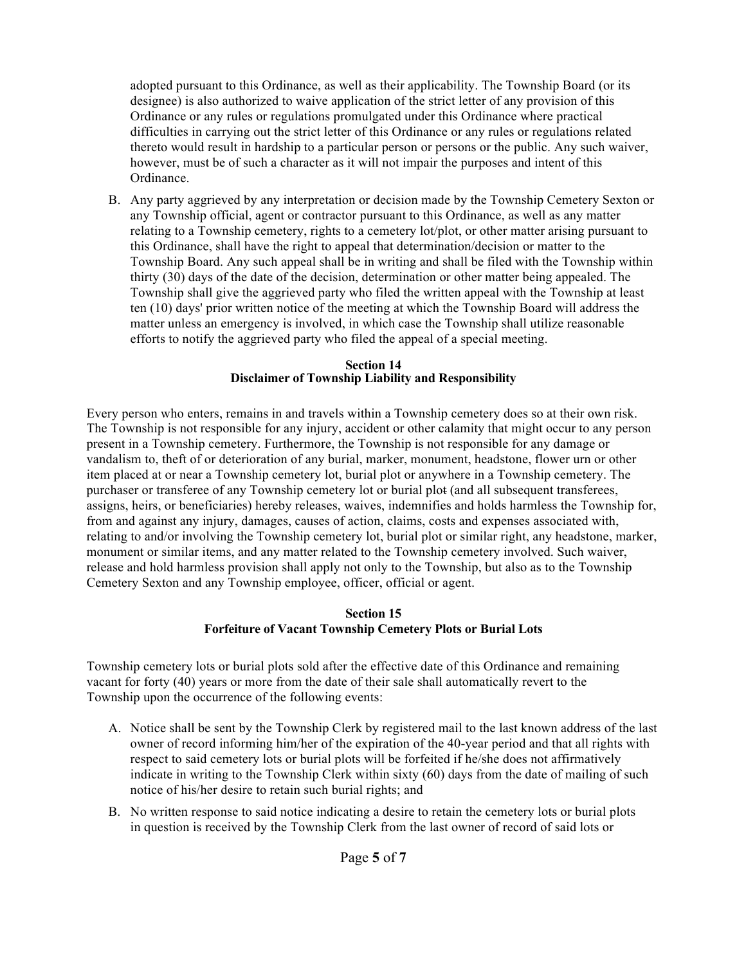adopted pursuant to this Ordinance, as well as their applicability. The Township Board (or its designee) is also authorized to waive application of the strict letter of any provision of this Ordinance or any rules or regulations promulgated under this Ordinance where practical difficulties in carrying out the strict letter of this Ordinance or any rules or regulations related thereto would result in hardship to a particular person or persons or the public. Any such waiver, however, must be of such a character as it will not impair the purposes and intent of this Ordinance.

B. Any party aggrieved by any interpretation or decision made by the Township Cemetery Sexton or any Township official, agent or contractor pursuant to this Ordinance, as well as any matter relating to a Township cemetery, rights to a cemetery lot/plot, or other matter arising pursuant to this Ordinance, shall have the right to appeal that determination/decision or matter to the Township Board. Any such appeal shall be in writing and shall be filed with the Township within thirty (30) days of the date of the decision, determination or other matter being appealed. The Township shall give the aggrieved party who filed the written appeal with the Township at least ten (10) days' prior written notice of the meeting at which the Township Board will address the matter unless an emergency is involved, in which case the Township shall utilize reasonable efforts to notify the aggrieved party who filed the appeal of a special meeting.

## **Section 14 Disclaimer of Township Liability and Responsibility**

Every person who enters, remains in and travels within a Township cemetery does so at their own risk. The Township is not responsible for any injury, accident or other calamity that might occur to any person present in a Township cemetery. Furthermore, the Township is not responsible for any damage or vandalism to, theft of or deterioration of any burial, marker, monument, headstone, flower urn or other item placed at or near a Township cemetery lot, burial plot or anywhere in a Township cemetery. The purchaser or transferee of any Township cemetery lot or burial plot (and all subsequent transferees, assigns, heirs, or beneficiaries) hereby releases, waives, indemnifies and holds harmless the Township for, from and against any injury, damages, causes of action, claims, costs and expenses associated with, relating to and/or involving the Township cemetery lot, burial plot or similar right, any headstone, marker, monument or similar items, and any matter related to the Township cemetery involved. Such waiver, release and hold harmless provision shall apply not only to the Township, but also as to the Township Cemetery Sexton and any Township employee, officer, official or agent.

## **Section 15 Forfeiture of Vacant Township Cemetery Plots or Burial Lots**

Township cemetery lots or burial plots sold after the effective date of this Ordinance and remaining vacant for forty (40) years or more from the date of their sale shall automatically revert to the Township upon the occurrence of the following events:

- A. Notice shall be sent by the Township Clerk by registered mail to the last known address of the last owner of record informing him/her of the expiration of the 40-year period and that all rights with respect to said cemetery lots or burial plots will be forfeited if he/she does not affirmatively indicate in writing to the Township Clerk within sixty (60) days from the date of mailing of such notice of his/her desire to retain such burial rights; and
- B. No written response to said notice indicating a desire to retain the cemetery lots or burial plots in question is received by the Township Clerk from the last owner of record of said lots or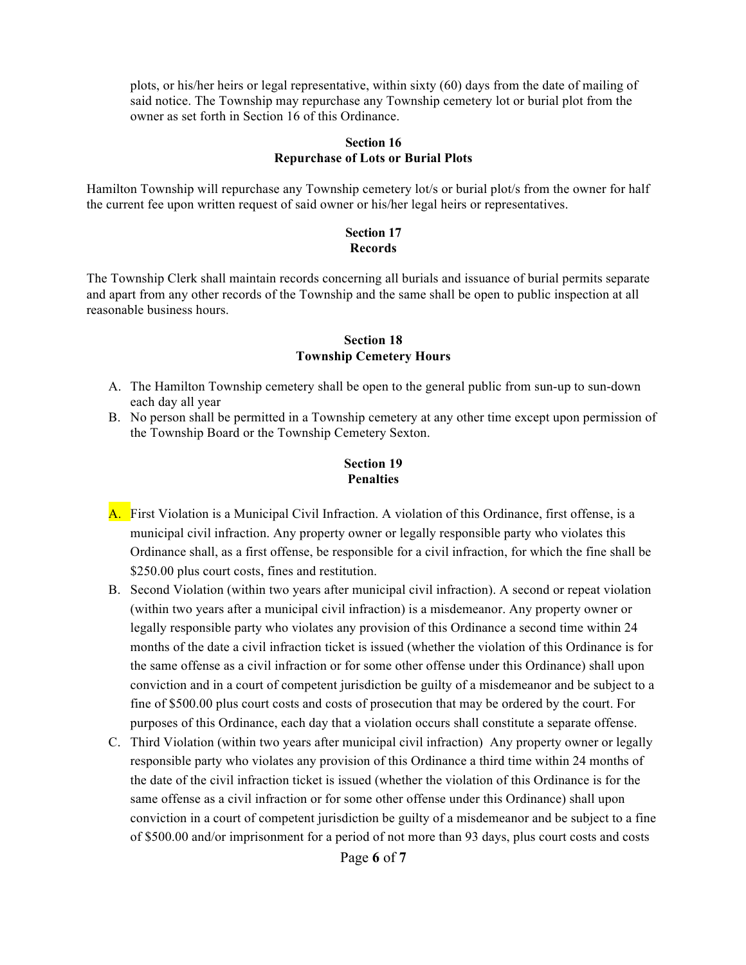plots, or his/her heirs or legal representative, within sixty (60) days from the date of mailing of said notice. The Township may repurchase any Township cemetery lot or burial plot from the owner as set forth in Section 16 of this Ordinance.

#### **Section 16 Repurchase of Lots or Burial Plots**

Hamilton Township will repurchase any Township cemetery lot/s or burial plot/s from the owner for half the current fee upon written request of said owner or his/her legal heirs or representatives.

#### **Section 17 Records**

The Township Clerk shall maintain records concerning all burials and issuance of burial permits separate and apart from any other records of the Township and the same shall be open to public inspection at all reasonable business hours.

### **Section 18 Township Cemetery Hours**

- A. The Hamilton Township cemetery shall be open to the general public from sun-up to sun-down each day all year
- B. No person shall be permitted in a Township cemetery at any other time except upon permission of the Township Board or the Township Cemetery Sexton.

# **Section 19 Penalties**

- A. First Violation is a Municipal Civil Infraction. A violation of this Ordinance, first offense, is a municipal civil infraction. Any property owner or legally responsible party who violates this Ordinance shall, as a first offense, be responsible for a civil infraction, for which the fine shall be \$250.00 plus court costs, fines and restitution.
- B. Second Violation (within two years after municipal civil infraction). A second or repeat violation (within two years after a municipal civil infraction) is a misdemeanor. Any property owner or legally responsible party who violates any provision of this Ordinance a second time within 24 months of the date a civil infraction ticket is issued (whether the violation of this Ordinance is for the same offense as a civil infraction or for some other offense under this Ordinance) shall upon conviction and in a court of competent jurisdiction be guilty of a misdemeanor and be subject to a fine of \$500.00 plus court costs and costs of prosecution that may be ordered by the court. For purposes of this Ordinance, each day that a violation occurs shall constitute a separate offense.
- C. Third Violation (within two years after municipal civil infraction) Any property owner or legally responsible party who violates any provision of this Ordinance a third time within 24 months of the date of the civil infraction ticket is issued (whether the violation of this Ordinance is for the same offense as a civil infraction or for some other offense under this Ordinance) shall upon conviction in a court of competent jurisdiction be guilty of a misdemeanor and be subject to a fine of \$500.00 and/or imprisonment for a period of not more than 93 days, plus court costs and costs